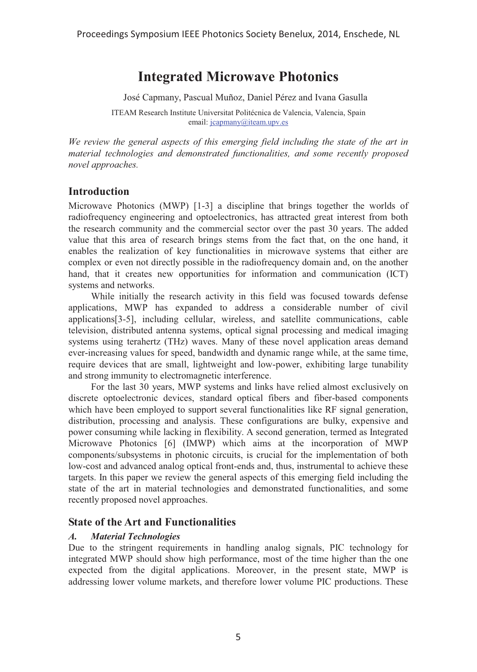# **Integrated Microwave Photonics**

José Capmany, Pascual Muñoz, Daniel Pérez and Ivana Gasulla

ITEAM Research Institute Universitat Politécnica de Valencia, Valencia, Spain email: jcapmany@iteam.upv.es

*We review the general aspects of this emerging field including the state of the art in material technologies and demonstrated functionalities, and some recently proposed novel approaches.* 

# **Introduction**

Microwave Photonics (MWP) [1-3] a discipline that brings together the worlds of radiofrequency engineering and optoelectronics, has attracted great interest from both the research community and the commercial sector over the past 30 years. The added value that this area of research brings stems from the fact that, on the one hand, it enables the realization of key functionalities in microwave systems that either are complex or even not directly possible in the radiofrequency domain and, on the another hand, that it creates new opportunities for information and communication (ICT) systems and networks.

While initially the research activity in this field was focused towards defense applications, MWP has expanded to address a considerable number of civil applications[3-5], including cellular, wireless, and satellite communications, cable television, distributed antenna systems, optical signal processing and medical imaging systems using terahertz (THz) waves. Many of these novel application areas demand ever-increasing values for speed, bandwidth and dynamic range while, at the same time, require devices that are small, lightweight and low-power, exhibiting large tunability and strong immunity to electromagnetic interference.

For the last 30 years, MWP systems and links have relied almost exclusively on discrete optoelectronic devices, standard optical fibers and fiber-based components which have been employed to support several functionalities like RF signal generation, distribution, processing and analysis. These configurations are bulky, expensive and power consuming while lacking in flexibility. A second generation, termed as Integrated Microwave Photonics [6] (IMWP) which aims at the incorporation of MWP components/subsystems in photonic circuits, is crucial for the implementation of both low-cost and advanced analog optical front-ends and, thus, instrumental to achieve these targets. In this paper we review the general aspects of this emerging field including the state of the art in material technologies and demonstrated functionalities, and some recently proposed novel approaches.

# **State of the Art and Functionalities**

## *A. Material Technologies*

Due to the stringent requirements in handling analog signals, PIC technology for integrated MWP should show high performance, most of the time higher than the one expected from the digital applications. Moreover, in the present state, MWP is addressing lower volume markets, and therefore lower volume PIC productions. These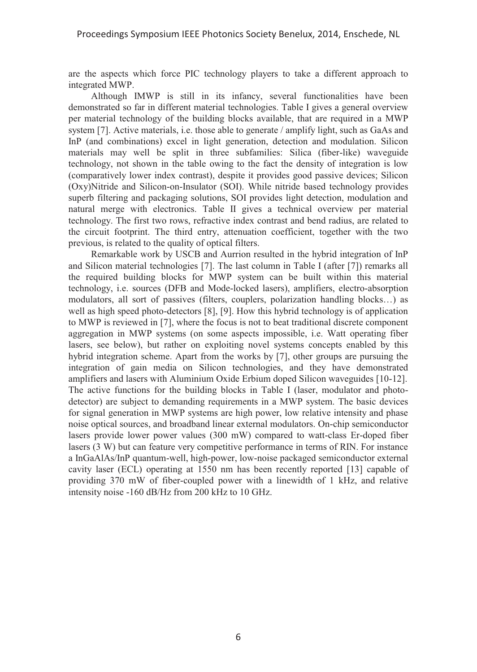are the aspects which force PIC technology players to take a different approach to integrated MWP.

Although IMWP is still in its infancy, several functionalities have been demonstrated so far in different material technologies. Table I gives a general overview per material technology of the building blocks available, that are required in a MWP system [7]. Active materials, i.e. those able to generate / amplify light, such as GaAs and InP (and combinations) excel in light generation, detection and modulation. Silicon materials may well be split in three subfamilies: Silica (fiber-like) waveguide technology, not shown in the table owing to the fact the density of integration is low (comparatively lower index contrast), despite it provides good passive devices; Silicon (Oxy)Nitride and Silicon-on-Insulator (SOI). While nitride based technology provides superb filtering and packaging solutions, SOI provides light detection, modulation and natural merge with electronics. Table II gives a technical overview per material technology. The first two rows, refractive index contrast and bend radius, are related to the circuit footprint. The third entry, attenuation coefficient, together with the two previous, is related to the quality of optical filters.

Remarkable work by USCB and Aurrion resulted in the hybrid integration of InP and Silicon material technologies [7]. The last column in Table I (after [7]) remarks all the required building blocks for MWP system can be built within this material technology, i.e. sources (DFB and Mode-locked lasers), amplifiers, electro-absorption modulators, all sort of passives (filters, couplers, polarization handling blocks…) as well as high speed photo-detectors [8], [9]. How this hybrid technology is of application to MWP is reviewed in [7], where the focus is not to beat traditional discrete component aggregation in MWP systems (on some aspects impossible, i.e. Watt operating fiber lasers, see below), but rather on exploiting novel systems concepts enabled by this hybrid integration scheme. Apart from the works by [7], other groups are pursuing the integration of gain media on Silicon technologies, and they have demonstrated amplifiers and lasers with Aluminium Oxide Erbium doped Silicon waveguides [10-12]. The active functions for the building blocks in Table I (laser, modulator and photodetector) are subject to demanding requirements in a MWP system. The basic devices for signal generation in MWP systems are high power, low relative intensity and phase noise optical sources, and broadband linear external modulators. On-chip semiconductor lasers provide lower power values (300 mW) compared to watt-class Er-doped fiber lasers (3 W) but can feature very competitive performance in terms of RIN. For instance a InGaAlAs/InP quantum-well, high-power, low-noise packaged semiconductor external cavity laser (ECL) operating at 1550 nm has been recently reported [13] capable of providing 370 mW of fiber-coupled power with a linewidth of 1 kHz, and relative intensity noise -160 dB/Hz from 200 kHz to 10 GHz.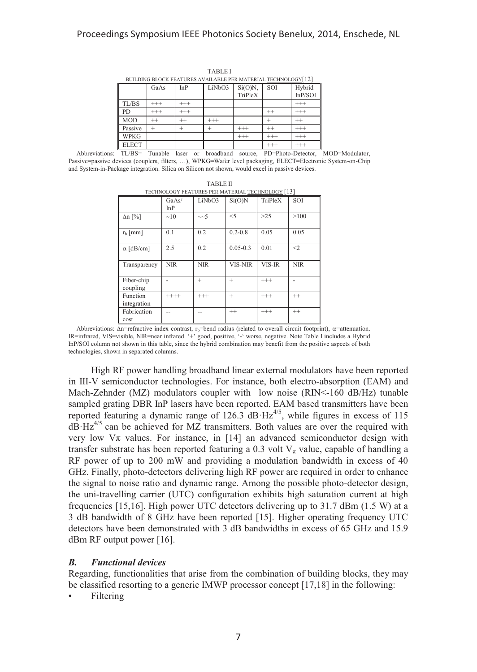| BUILDING BLOCK FEATURES AVAILABLE PER MATERIAL TECHNOLOGY[12] |          |            |          |                       |          |                    |
|---------------------------------------------------------------|----------|------------|----------|-----------------------|----------|--------------------|
|                                                               | GaAs     | <b>InP</b> | LiNbO3   | $Si(O)N$ ,<br>TriPleX | SOI      | Hybrid<br>In P/SOI |
| TL/BS                                                         | $^{+++}$ | $^{+++}$   |          |                       |          | $^{+++}$           |
| <b>PD</b>                                                     | $^{+++}$ | $^{+++}$   |          |                       | $^{++}$  | $^{+++}$           |
| <b>MOD</b>                                                    | $^{++}$  | $^{++}$    | $^{+++}$ |                       |          | $^{++}$            |
| Passive                                                       |          |            |          | $^{++}$               | $^{++}$  | $^{+++}$           |
| <b>WPKG</b>                                                   |          |            |          | $^{+++}$              | $^{+++}$ | $^{+++}$           |
| <b>ELECT</b>                                                  |          |            |          |                       | ++-      | $^{+++}$           |

TABLE I

Abbreviations: TL/BS= Tunable laser or broadband source, PD=Photo-Detector, MOD=Modulator, Passive=passive devices (couplers, filters, …), WPKG=Wafer level packaging, ELECT=Electronic System-on-Chip and System-in-Package integration. Silica on Silicon not shown, would excel in passive devices.

TABLE II

| TECHNOLOGY FEATURES PER MATERIAL TECHNOLOGY [13] |              |            |                |          |            |  |
|--------------------------------------------------|--------------|------------|----------------|----------|------------|--|
|                                                  | GaAs/<br>InP | LiNbO3     | Si(O)N         | TriPleX  | <b>SOI</b> |  |
| $\Delta n$ [%]                                   | $\sim$ 10    | $\sim$ -5  | $<$ 5          | $>25$    | >100       |  |
| $r_b$ [mm]                                       | 0.1          | 0.2        | $0.2 - 0.8$    | 0.05     | 0.05       |  |
| $\alpha$ [dB/cm]                                 | 2.5          | 0.2        | $0.05 - 0.3$   | 0.01     | $<$ 2      |  |
| Transparency                                     | <b>NIR</b>   | <b>NIR</b> | <b>VIS-NIR</b> | VIS-IR   | <b>NIR</b> |  |
| Fiber-chip<br>coupling                           |              | $^{+}$     | $^{+}$         | $^{+++}$ |            |  |
| Function<br>integration                          | $++++$       | $^{+++}$   | $^{+}$         | $^{+++}$ | $^{++}$    |  |
| Fabrication<br>cost                              |              |            | $^{++}$        | $^{+++}$ | $^{++}$    |  |

Abbreviations:  $\Delta n$ =refractive index contrast, r<sub>b</sub>=bend radius (related to overall circuit footprint),  $\alpha$ =attenuation. IR=infrared, VIS=visible, NIR=near infrared. '+' good, positive, '-' worse, negative. Note Table I includes a Hybrid InP/SOI column not shown in this table, since the hybrid combination may benefit from the positive aspects of both technologies, shown in separated columns.

High RF power handling broadband linear external modulators have been reported in III-V semiconductor technologies. For instance, both electro-absorption (EAM) and Mach-Zehnder (MZ) modulators coupler with low noise (RIN<-160 dB/Hz) tunable sampled grating DBR InP lasers have been reported. EAM based transmitters have been reported featuring a dynamic range of  $126.3$  dB·Hz<sup>4/5</sup>, while figures in excess of 115  $dB·Hz<sup>4/5</sup>$  can be achieved for MZ transmitters. Both values are over the required with very low  $\nabla \pi$  values. For instance, in [14] an advanced semiconductor design with transfer substrate has been reported featuring a 0.3 volt  $V_{\pi}$  value, capable of handling a RF power of up to 200 mW and providing a modulation bandwidth in excess of 40 GHz. Finally, photo-detectors delivering high RF power are required in order to enhance the signal to noise ratio and dynamic range. Among the possible photo-detector design, the uni-travelling carrier (UTC) configuration exhibits high saturation current at high frequencies [15,16]. High power UTC detectors delivering up to  $31.7$  dBm (1.5 W) at a 3 dB bandwidth of 8 GHz have been reported [15]. Higher operating frequency UTC detectors have been demonstrated with 3 dB bandwidths in excess of 65 GHz and 15.9 dBm RF output power [16].

#### *B. Functional devices*

Regarding, functionalities that arise from the combination of building blocks, they may be classified resorting to a generic IMWP processor concept [17,18] in the following:

**Filtering**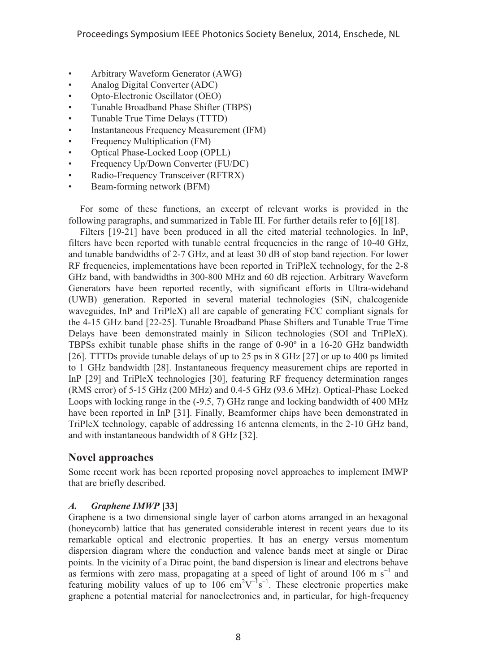- Arbitrary Waveform Generator (AWG)
- Analog Digital Converter (ADC)
- Opto-Electronic Oscillator (OEO)
- Tunable Broadband Phase Shifter (TBPS)
- Tunable True Time Delays (TTTD)
- Instantaneous Frequency Measurement (IFM)
- Frequency Multiplication (FM)
- Optical Phase-Locked Loop (OPLL)
- Frequency Up/Down Converter (FU/DC)
- Radio-Frequency Transceiver (RFTRX)
- Beam-forming network (BFM)

For some of these functions, an excerpt of relevant works is provided in the following paragraphs, and summarized in Table III. For further details refer to [6][18].

Filters [19-21] have been produced in all the cited material technologies. In InP, filters have been reported with tunable central frequencies in the range of 10-40 GHz, and tunable bandwidths of 2-7 GHz, and at least 30 dB of stop band rejection. For lower RF frequencies, implementations have been reported in TriPleX technology, for the 2-8 GHz band, with bandwidths in 300-800 MHz and 60 dB rejection. Arbitrary Waveform Generators have been reported recently, with significant efforts in Ultra-wideband (UWB) generation. Reported in several material technologies (SiN, chalcogenide waveguides, InP and TriPleX) all are capable of generating FCC compliant signals for the 4-15 GHz band [22-25]. Tunable Broadband Phase Shifters and Tunable True Time Delays have been demonstrated mainly in Silicon technologies (SOI and TriPleX). TBPSs exhibit tunable phase shifts in the range of 0-90º in a 16-20 GHz bandwidth [26]. TTTDs provide tunable delays of up to 25 ps in 8 GHz [27] or up to 400 ps limited to 1 GHz bandwidth [28]. Instantaneous frequency measurement chips are reported in InP [29] and TriPleX technologies [30], featuring RF frequency determination ranges (RMS error) of 5-15 GHz (200 MHz) and 0.4-5 GHz (93.6 MHz). Optical-Phase Locked Loops with locking range in the (-9.5, 7) GHz range and locking bandwidth of 400 MHz have been reported in InP [31]. Finally, Beamformer chips have been demonstrated in TriPleX technology, capable of addressing 16 antenna elements, in the 2-10 GHz band, and with instantaneous bandwidth of 8 GHz [32].

# **Novel approaches**

Some recent work has been reported proposing novel approaches to implement IMWP that are briefly described.

## *A. Graphene IMWP* **[33]**

Graphene is a two dimensional single layer of carbon atoms arranged in an hexagonal (honeycomb) lattice that has generated considerable interest in recent years due to its remarkable optical and electronic properties. It has an energy versus momentum dispersion diagram where the conduction and valence bands meet at single or Dirac points. In the vicinity of a Dirac point, the band dispersion is linear and electrons behave as fermions with zero mass, propagating at a speed of light of around 106 m  $s^{-1}$  and featuring mobility values of up to 106  $\text{cm}^2\text{V}^{-1}\text{s}^{-1}$ . These electronic properties make graphene a potential material for nanoelectronics and, in particular, for high-frequency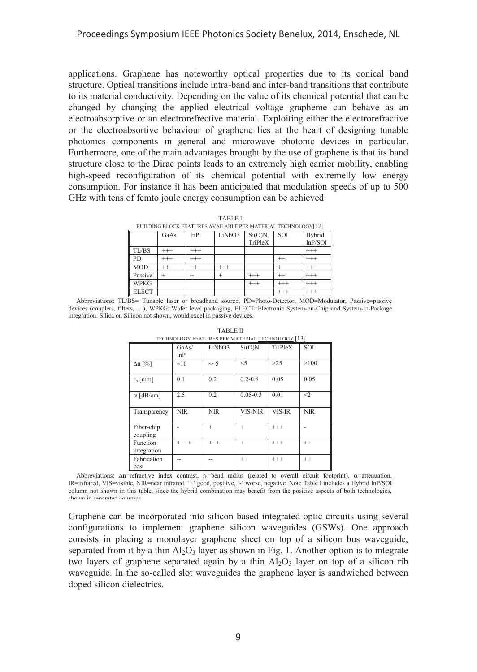applications. Graphene has noteworthy optical properties due to its conical band structure. Optical transitions include intra-band and inter-band transitions that contribute to its material conductivity. Depending on the value of its chemical potential that can be changed by changing the applied electrical voltage grapheme can behave as an electroabsorptive or an electrorefrective material. Exploiting either the electrorefractive or the electroabsortive behaviour of graphene lies at the heart of designing tunable photonics components in general and microwave photonic devices in particular. Furthermore, one of the main advantages brought by the use of graphene is that its band structure close to the Dirac points leads to an extremely high carrier mobility, enabling high-speed reconfiguration of its chemical potential with extremelly low energy consumption. For instance it has been anticipated that modulation speeds of up to 500 GHz with tens of femto joule energy consumption can be achieved.

|--|--|

TABLE I<br>BUILDING BLOCK FEATURES AVAILABLE PER MATERIAL <u>TECHNOLOGY[</u>12]

|              | GaAs     | InP      | LiNbO3   | $Si(O)N$ , | SOI      | Hybrid   |
|--------------|----------|----------|----------|------------|----------|----------|
|              |          |          |          | TriPleX    |          | In P/SOI |
| TL/BS        | $^{+++}$ | $^{+++}$ |          |            |          | $^{+++}$ |
| PD           | $^{+++}$ | $^{+++}$ |          |            | $^{++}$  | $^{+++}$ |
| <b>MOD</b>   | $^{++}$  | $^{+}$   | $^{+++}$ |            |          | $^{++}$  |
| Passive      |          |          |          | $^{+++}$   | $^{++}$  | $^{+++}$ |
| <b>WPKG</b>  |          |          |          | $^{+++}$   | $^{+++}$ | $^{+++}$ |
| <b>ELECT</b> |          |          |          |            | $^{+++}$ | $^{+++}$ |

Abbreviations: TL/BS= Tunable laser or broadband source, PD=Photo-Detector, MOD=Modulator, Passive=passive devices (couplers, filters, …), WPKG=Wafer level packaging, ELECT=Electronic System-on-Chip and System-in-Package integration. Silica on Silicon not shown, would excel in passive devices.

| I EURINULUU I-FEATURES FER MATERIAL TEURNULUU I-J J |              |            |              |          |            |  |  |
|-----------------------------------------------------|--------------|------------|--------------|----------|------------|--|--|
|                                                     | GaAs/<br>InP | LiNbO3     | Si(O)N       | TriPleX  | SOI        |  |  |
| $\Delta n$ [%]                                      | $\sim$ 10    | $\sim$ -5  | $<$ 5        | $>25$    | >100       |  |  |
| $r_b$ [mm]                                          | 0.1          | 0.2        | $0.2 - 0.8$  | 0.05     | 0.05       |  |  |
| $\alpha$ [dB/cm]                                    | 2.5          | 0.2        | $0.05 - 0.3$ | 0.01     | $\leq$ 2   |  |  |
| Transparency                                        | <b>NIR</b>   | <b>NIR</b> | VIS-NIR      | VIS-IR   | <b>NIR</b> |  |  |
| Fiber-chip<br>coupling                              |              | $^{+}$     | $\ddot{}$    | $^{+++}$ |            |  |  |
| Function<br>integration                             | $+++++$      | $^{+++}$   | $^{+}$       | $^{+++}$ | $^{++}$    |  |  |
| Fabrication<br>cost                                 |              |            | $^{++}$      | $^{+++}$ | $^{++}$    |  |  |

TABLE II TECHNOLOGY FEATURES PER MATERIAL TECHNOLOGY [13]

Abbreviations:  $\Delta n$ =refractive index contrast, r<sub>b</sub>=bend radius (related to overall circuit footprint),  $\alpha$ =attenuation. IR=infrared, VIS=visible, NIR=near infrared. '+' good, positive, '-' worse, negative. Note Table I includes a Hybrid InP/SOI column not shown in this table, since the hybrid combination may benefit from the positive aspects of both technologies, shown in separated columns

Graphene can be incorporated into silicon based integrated optic circuits using several configurations to implement graphene silicon waveguides (GSWs). One approach consists in placing a monolayer graphene sheet on top of a silicon bus waveguide, separated from it by a thin  $Al_2O_3$  layer as shown in Fig. 1. Another option is to integrate two layers of graphene separated again by a thin  $Al_2O_3$  layer on top of a silicon rib waveguide. In the so-called slot waveguides the graphene layer is sandwiched between doped silicon dielectrics.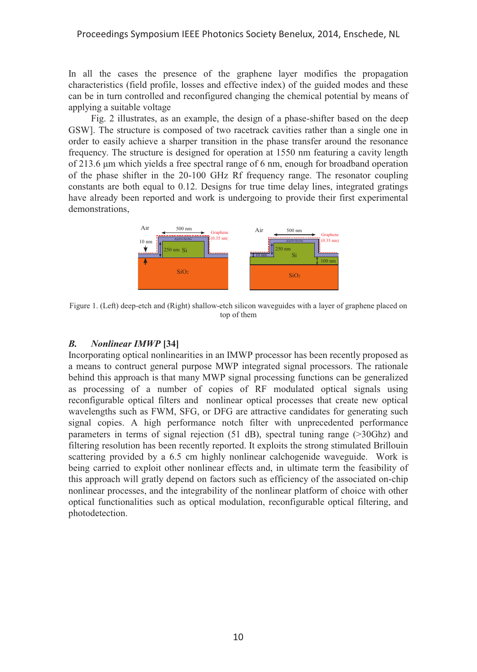#### Proceedings Symposium IEEE Photonics Society Benelux, 2014, Enschede, NL

In all the cases the presence of the graphene layer modifies the propagation characteristics (field profile, losses and effective index) of the guided modes and these can be in turn controlled and reconfigured changing the chemical potential by means of applying a suitable voltage

Fig. 2 illustrates, as an example, the design of a phase-shifter based on the deep GSW]. The structure is composed of two racetrack cavities rather than a single one in order to easily achieve a sharper transition in the phase transfer around the resonance frequency. The structure is designed for operation at 1550 nm featuring a cavity length of 213.6 μm which yields a free spectral range of 6 nm, enough for broadband operation of the phase shifter in the 20-100 GHz Rf frequency range. The resonator coupling constants are both equal to 0.12. Designs for true time delay lines, integrated gratings have already been reported and work is undergoing to provide their first experimental demonstrations,



Figure 1. (Left) deep-etch and (Right) shallow-etch silicon waveguides with a layer of graphene placed on top of them

#### *B. Nonlinear IMWP* **[34]**

Incorporating optical nonlinearities in an IMWP processor has been recently proposed as a means to contruct general purpose MWP integrated signal processors. The rationale behind this approach is that many MWP signal processing functions can be generalized as processing of a number of copies of RF modulated optical signals using reconfigurable optical filters and nonlinear optical processes that create new optical wavelengths such as FWM, SFG, or DFG are attractive candidates for generating such signal copies. A high performance notch filter with unprecedented performance parameters in terms of signal rejection (51 dB), spectral tuning range (>30Ghz) and filtering resolution has been recently reported. It exploits the strong stimulated Brillouin scattering provided by a 6.5 cm highly nonlinear calchogenide waveguide. Work is being carried to exploit other nonlinear effects and, in ultimate term the feasibility of this approach will gratly depend on factors such as efficiency of the associated on-chip nonlinear processes, and the integrability of the nonlinear platform of choice with other optical functionalities such as optical modulation, reconfigurable optical filtering, and photodetection.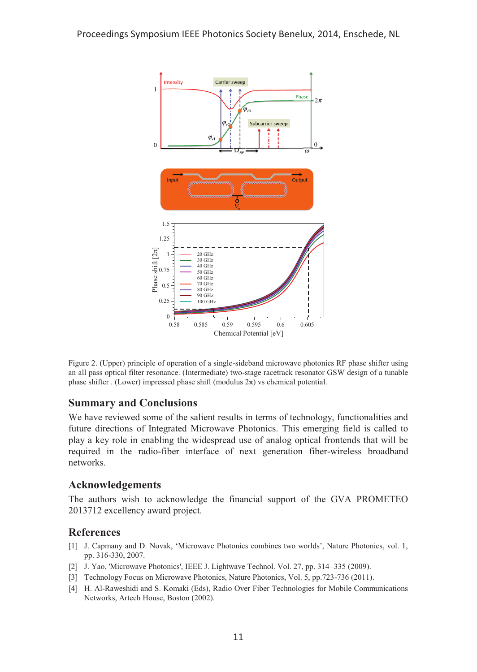

Figure 2. (Upper) principle of operation of a single-sideband microwave photonics RF phase shifter using an all pass optical filter resonance. (Intermediate) two-stage racetrack resonator GSW design of a tunable phase shifter . (Lower) impressed phase shift (modulus  $2\pi$ ) vs chemical potential.

## **Summary and Conclusions**

We have reviewed some of the salient results in terms of technology, functionalities and future directions of Integrated Microwave Photonics. This emerging field is called to play a key role in enabling the widespread use of analog optical frontends that will be required in the radio-fiber interface of next generation fiber-wireless broadband networks.

# **Acknowledgements**

The authors wish to acknowledge the financial support of the GVA PROMETEO 2013712 excellency award project.

## **References**

- [1] J. Capmany and D. Novak, 'Microwave Photonics combines two worlds', Nature Photonics, vol. 1, pp. 316-330, 2007.
- [2] J. Yao, 'Microwave Photonics', IEEE J. Lightwave Technol. Vol. 27, pp. 314–335 (2009).
- [3] Technology Focus on Microwave Photonics, Nature Photonics, Vol. 5, pp.723-736 (2011).
- [4] H. Al-Raweshidi and S. Komaki (Eds), Radio Over Fiber Technologies for Mobile Communications Networks, Artech House, Boston (2002).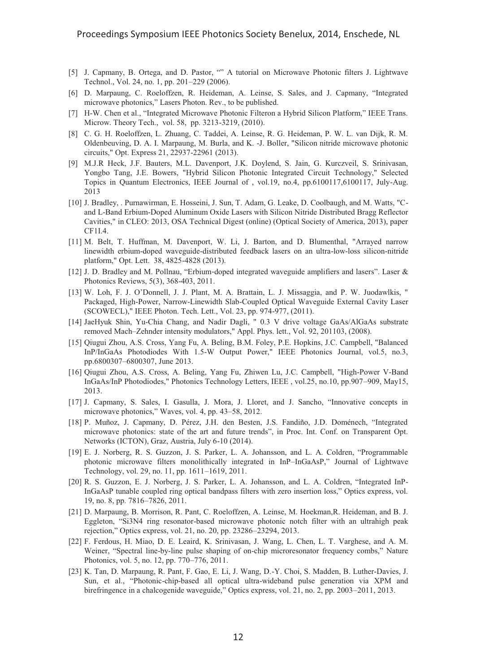- [5] J. Capmany, B. Ortega, and D. Pastor, "" A tutorial on Microwave Photonic filters J. Lightwave Technol., Vol. 24, no. 1, pp. 201–229 (2006).
- [6] D. Marpaung, C. Roeloffzen, R. Heideman, A. Leinse, S. Sales, and J. Capmany, "Integrated microwave photonics," Lasers Photon. Rev., to be published.
- [7] H-W. Chen et al., "Integrated Microwave Photonic Filteron a Hybrid Silicon Platform," IEEE Trans. Microw. Theory Tech., vol. 58, pp. 3213-3219, (2010).
- [8] C. G. H. Roeloffzen, L. Zhuang, C. Taddei, A. Leinse, R. G. Heideman, P. W. L. van Dijk, R. M. Oldenbeuving, D. A. I. Marpaung, M. Burla, and K. -J. Boller, "Silicon nitride microwave photonic circuits," Opt. Express 21, 22937-22961 (2013).
- [9] M.J.R Heck, J.F. Bauters, M.L. Davenport, J.K. Doylend, S. Jain, G. Kurczveil, S. Srinivasan, Yongbo Tang, J.E. Bowers, "Hybrid Silicon Photonic Integrated Circuit Technology," Selected Topics in Quantum Electronics, IEEE Journal of , vol.19, no.4, pp.6100117,6100117, July-Aug. 2013
- [10] J. Bradley, . Purnawirman, E. Hosseini, J. Sun, T. Adam, G. Leake, D. Coolbaugh, and M. Watts, "Cand L-Band Erbium-Doped Aluminum Oxide Lasers with Silicon Nitride Distributed Bragg Reflector Cavities," in CLEO: 2013, OSA Technical Digest (online) (Optical Society of America, 2013), paper CF1I.4.
- [11] M. Belt, T. Huffman, M. Davenport, W. Li, J. Barton, and D. Blumenthal, "Arrayed narrow linewidth erbium-doped waveguide-distributed feedback lasers on an ultra-low-loss silicon-nitride platform," Opt. Lett. 38, 4825-4828 (2013).
- [12] J. D. Bradley and M. Pollnau, "Erbium-doped integrated waveguide amplifiers and lasers". Laser & Photonics Reviews, 5(3), 368-403, 2011.
- [13] W. Loh, F. J. O'Donnell, J. J. Plant, M. A. Brattain, L. J. Missaggia, and P. W. Juodawlkis, " Packaged, High-Power, Narrow-Linewidth Slab-Coupled Optical Waveguide External Cavity Laser (SCOWECL)," IEEE Photon. Tech. Lett., Vol. 23, pp. 974-977, (2011).
- [14] JaeHyuk Shin, Yu-Chia Chang, and Nadir Dagli, " 0.3 V drive voltage GaAs/AlGaAs substrate removed Mach–Zehnder intensity modulators," Appl. Phys. lett., Vol. 92, 201103, (2008).
- [15] Qiugui Zhou, A.S. Cross, Yang Fu, A. Beling, B.M. Foley, P.E. Hopkins, J.C. Campbell, "Balanced InP/InGaAs Photodiodes With 1.5-W Output Power," IEEE Photonics Journal, vol.5, no.3, pp.6800307–6800307, June 2013.
- [16] Qiugui Zhou, A.S. Cross, A. Beling, Yang Fu, Zhiwen Lu, J.C. Campbell, "High-Power V-Band InGaAs/InP Photodiodes," Photonics Technology Letters, IEEE , vol.25, no.10, pp.907–909, May15, 2013.
- [17] J. Capmany, S. Sales, I. Gasulla, J. Mora, J. Lloret, and J. Sancho, "Innovative concepts in microwave photonics," Waves, vol. 4, pp. 43–58, 2012.
- [18] P. Muñoz, J. Capmany, D. Pérez, J.H. den Besten, J.S. Fandiño, J.D. Doménech, "Integrated microwave photonics: state of the art and future trends", in Proc. Int. Conf. on Transparent Opt. Networks (ICTON), Graz, Austria, July 6-10 (2014).
- [19] E. J. Norberg, R. S. Guzzon, J. S. Parker, L. A. Johansson, and L. A. Coldren, "Programmable photonic microwave filters monolithically integrated in InP–InGaAsP," Journal of Lightwave Technology, vol. 29, no. 11, pp. 1611–1619, 2011.
- [20] R. S. Guzzon, E. J. Norberg, J. S. Parker, L. A. Johansson, and L. A. Coldren, "Integrated InP-InGaAsP tunable coupled ring optical bandpass filters with zero insertion loss," Optics express, vol. 19, no. 8, pp. 7816–7826, 2011.
- [21] D. Marpaung, B. Morrison, R. Pant, C. Roeloffzen, A. Leinse, M. Hoekman,R. Heideman, and B. J. Eggleton, "Si3N4 ring resonator-based microwave photonic notch filter with an ultrahigh peak rejection," Optics express, vol. 21, no. 20, pp. 23286–23294, 2013.
- [22] F. Ferdous, H. Miao, D. E. Leaird, K. Srinivasan, J. Wang, L. Chen, L. T. Varghese, and A. M. Weiner, "Spectral line-by-line pulse shaping of on-chip microresonator frequency combs," Nature Photonics, vol. 5, no. 12, pp. 770–776, 2011.
- [23] K. Tan, D. Marpaung, R. Pant, F. Gao, E. Li, J. Wang, D.-Y. Choi, S. Madden, B. Luther-Davies, J. Sun, et al., "Photonic-chip-based all optical ultra-wideband pulse generation via XPM and birefringence in a chalcogenide waveguide," Optics express, vol. 21, no. 2, pp. 2003–2011, 2013.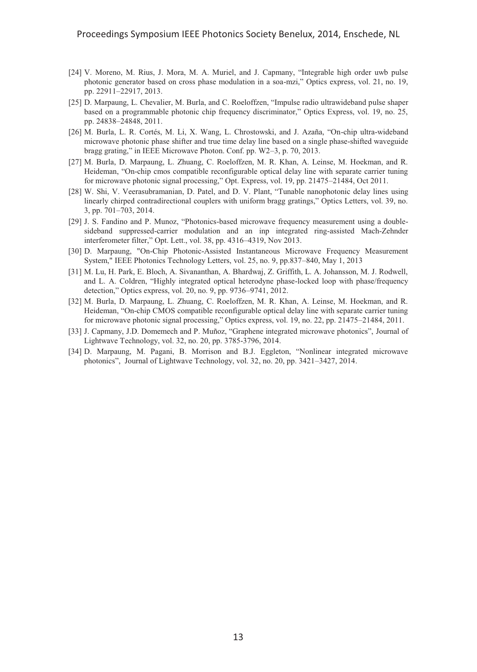- [24] V. Moreno, M. Rius, J. Mora, M. A. Muriel, and J. Capmany, "Integrable high order uwb pulse photonic generator based on cross phase modulation in a soa-mzi," Optics express, vol. 21, no. 19, pp. 22911–22917, 2013.
- [25] D. Marpaung, L. Chevalier, M. Burla, and C. Roeloffzen, "Impulse radio ultrawideband pulse shaper based on a programmable photonic chip frequency discriminator," Optics Express, vol. 19, no. 25, pp. 24838–24848, 2011.
- [26] M. Burla, L. R. Cortés, M. Li, X. Wang, L. Chrostowski, and J. Azaña, "On-chip ultra-wideband microwave photonic phase shifter and true time delay line based on a single phase-shifted waveguide bragg grating," in IEEE Microwave Photon. Conf. pp. W2–3, p. 70, 2013.
- [27] M. Burla, D. Marpaung, L. Zhuang, C. Roeloffzen, M. R. Khan, A. Leinse, M. Hoekman, and R. Heideman, "On-chip cmos compatible reconfigurable optical delay line with separate carrier tuning for microwave photonic signal processing," Opt. Express, vol. 19, pp. 21475–21484, Oct 2011.
- [28] W. Shi, V. Veerasubramanian, D. Patel, and D. V. Plant, "Tunable nanophotonic delay lines using linearly chirped contradirectional couplers with uniform bragg gratings," Optics Letters, vol. 39, no. 3, pp. 701–703, 2014.
- [29] J. S. Fandino and P. Munoz, "Photonics-based microwave frequency measurement using a doublesideband suppressed-carrier modulation and an inp integrated ring-assisted Mach-Zehnder interferometer filter," Opt. Lett., vol. 38, pp. 4316–4319, Nov 2013.
- [30] D. Marpaung, "On-Chip Photonic-Assisted Instantaneous Microwave Frequency Measurement System," IEEE Photonics Technology Letters, vol. 25, no. 9, pp.837–840, May 1, 2013
- [31] M. Lu, H. Park, E. Bloch, A. Sivananthan, A. Bhardwaj, Z. Griffith, L. A. Johansson, M. J. Rodwell, and L. A. Coldren, "Highly integrated optical heterodyne phase-locked loop with phase/frequency detection," Optics express, vol. 20, no. 9, pp. 9736–9741, 2012.
- [32] M. Burla, D. Marpaung, L. Zhuang, C. Roeloffzen, M. R. Khan, A. Leinse, M. Hoekman, and R. Heideman, "On-chip CMOS compatible reconfigurable optical delay line with separate carrier tuning for microwave photonic signal processing," Optics express, vol. 19, no. 22, pp. 21475–21484, 2011.
- [33] J. Capmany, J.D. Domemech and P. Muñoz, "Graphene integrated microwave photonics", Journal of Lightwave Technology, vol. 32, no. 20, pp. 3785-3796, 2014.
- [34] D. Marpaung, M. Pagani, B. Morrison and B.J. Eggleton, "Nonlinear integrated microwave photonics", Journal of Lightwave Technology, vol. 32, no. 20, pp. 3421–3427, 2014.